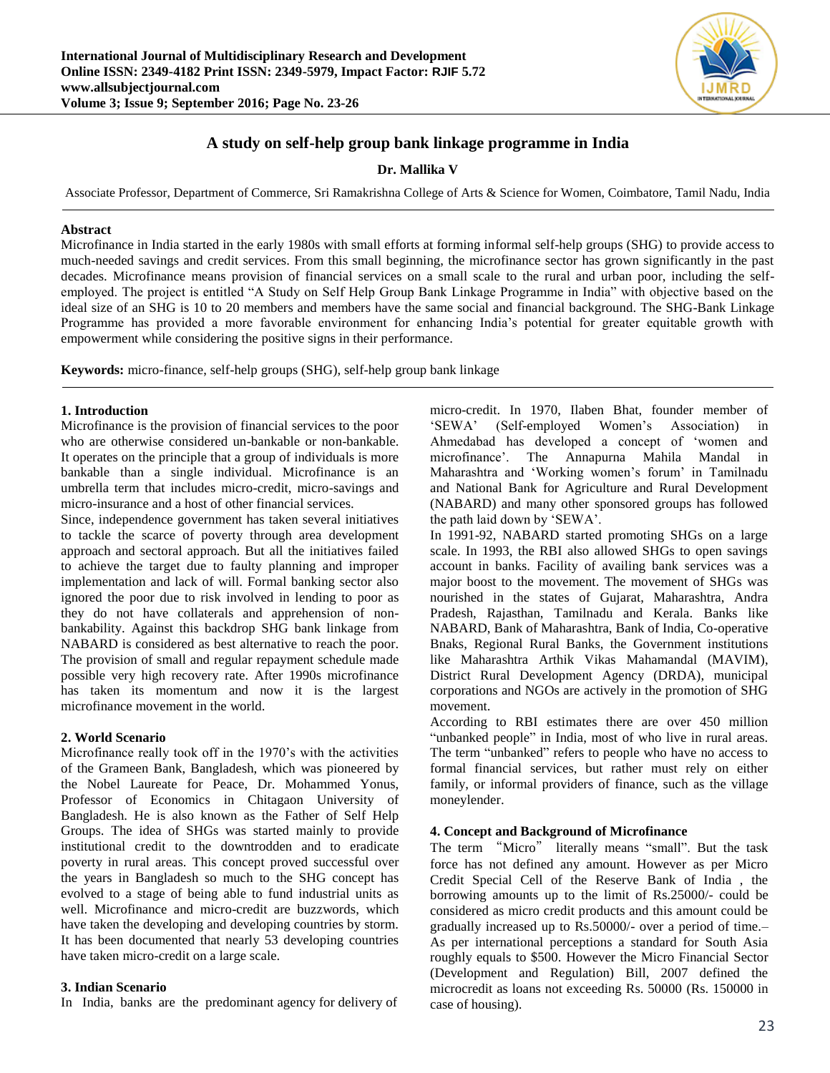

# **A study on self-help group bank linkage programme in India**

**Dr. Mallika V**

Associate Professor, Department of Commerce, Sri Ramakrishna College of Arts & Science for Women, Coimbatore, Tamil Nadu, India

#### **Abstract**

Microfinance in India started in the early 1980s with small efforts at forming informal self-help groups (SHG) to provide access to much-needed savings and credit services. From this small beginning, the microfinance sector has grown significantly in the past decades. Microfinance means provision of financial services on a small scale to the rural and urban poor, including the selfemployed. The project is entitled "A Study on Self Help Group Bank Linkage Programme in India" with objective based on the ideal size of an SHG is 10 to 20 members and members have the same social and financial background. The SHG-Bank Linkage Programme has provided a more favorable environment for enhancing India's potential for greater equitable growth with empowerment while considering the positive signs in their performance.

**Keywords:** micro-finance, self-help groups (SHG), self-help group bank linkage

#### **1. Introduction**

Microfinance is the provision of financial services to the poor who are otherwise considered un-bankable or non-bankable. It operates on the principle that a group of individuals is more bankable than a single individual. Microfinance is an umbrella term that includes micro-credit, micro-savings and micro-insurance and a host of other financial services.

Since, independence government has taken several initiatives to tackle the scarce of poverty through area development approach and sectoral approach. But all the initiatives failed to achieve the target due to faulty planning and improper implementation and lack of will. Formal banking sector also ignored the poor due to risk involved in lending to poor as they do not have collaterals and apprehension of nonbankability. Against this backdrop SHG bank linkage from NABARD is considered as best alternative to reach the poor. The provision of small and regular repayment schedule made possible very high recovery rate. After 1990s microfinance has taken its momentum and now it is the largest microfinance movement in the world.

### **2. World Scenario**

Microfinance really took off in the 1970's with the activities of the Grameen Bank, Bangladesh, which was pioneered by the Nobel Laureate for Peace, Dr. Mohammed Yonus, Professor of Economics in Chitagaon University of Bangladesh. He is also known as the Father of Self Help Groups. The idea of SHGs was started mainly to provide institutional credit to the downtrodden and to eradicate poverty in rural areas. This concept proved successful over the years in Bangladesh so much to the SHG concept has evolved to a stage of being able to fund industrial units as well. Microfinance and micro-credit are buzzwords, which have taken the developing and developing countries by storm. It has been documented that nearly 53 developing countries have taken micro-credit on a large scale.

#### **3. Indian Scenario**

In India, banks are the predominant agency for delivery of

micro-credit. In 1970, Ilaben Bhat, founder member of 'SEWA' (Self-employed Women's Association) in Ahmedabad has developed a concept of 'women and microfinance'. The Annapurna Mahila Mandal in Maharashtra and 'Working women's forum' in Tamilnadu and National Bank for Agriculture and Rural Development (NABARD) and many other sponsored groups has followed the path laid down by 'SEWA'.

In 1991-92, NABARD started promoting SHGs on a large scale. In 1993, the RBI also allowed SHGs to open savings account in banks. Facility of availing bank services was a major boost to the movement. The movement of SHGs was nourished in the states of Gujarat, Maharashtra, Andra Pradesh, Rajasthan, Tamilnadu and Kerala. Banks like NABARD, Bank of Maharashtra, Bank of India, Co-operative Bnaks, Regional Rural Banks, the Government institutions like Maharashtra Arthik Vikas Mahamandal (MAVIM), District Rural Development Agency (DRDA), municipal corporations and NGOs are actively in the promotion of SHG movement.

According to RBI estimates there are over 450 million "unbanked people" in India, most of who live in rural areas. The term "unbanked" refers to people who have no access to formal financial services, but rather must rely on either family, or informal providers of finance, such as the village moneylender.

#### **4. Concept and Background of Microfinance**

The term "Micro" literally means "small". But the task force has not defined any amount. However as per Micro Credit Special Cell of the Reserve Bank of India , the borrowing amounts up to the limit of Rs.25000/- could be considered as micro credit products and this amount could be gradually increased up to Rs.50000/- over a period of time.– As per international perceptions a standard for South Asia roughly equals to \$500. However the Micro Financial Sector (Development and Regulation) Bill, 2007 defined the microcredit as loans not exceeding Rs. 50000 (Rs. 150000 in case of housing).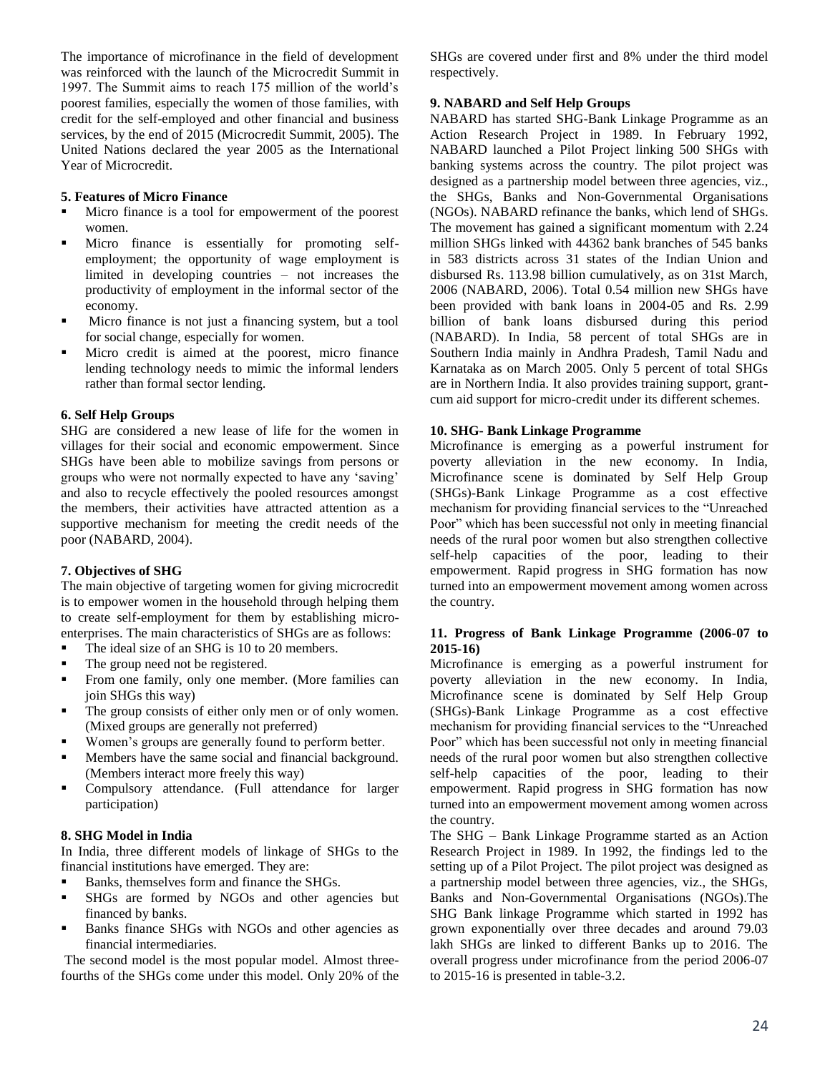The importance of microfinance in the field of development was reinforced with the launch of the Microcredit Summit in 1997. The Summit aims to reach 175 million of the world's poorest families, especially the women of those families, with credit for the self-employed and other financial and business services, by the end of 2015 (Microcredit Summit, 2005). The United Nations declared the year 2005 as the International Year of Microcredit.

# **5. Features of Micro Finance**

- Micro finance is a tool for empowerment of the poorest women.
- Micro finance is essentially for promoting selfemployment; the opportunity of wage employment is limited in developing countries – not increases the productivity of employment in the informal sector of the economy.
- Micro finance is not just a financing system, but a tool for social change, especially for women.
- Micro credit is aimed at the poorest, micro finance lending technology needs to mimic the informal lenders rather than formal sector lending.

## **6. Self Help Groups**

SHG are considered a new lease of life for the women in villages for their social and economic empowerment. Since SHGs have been able to mobilize savings from persons or groups who were not normally expected to have any 'saving' and also to recycle effectively the pooled resources amongst the members, their activities have attracted attention as a supportive mechanism for meeting the credit needs of the poor (NABARD, 2004).

# **7. Objectives of SHG**

The main objective of targeting women for giving microcredit is to empower women in the household through helping them to create self-employment for them by establishing microenterprises. The main characteristics of SHGs are as follows:

- The ideal size of an SHG is 10 to 20 members.
- The group need not be registered.
- From one family, only one member. (More families can join SHGs this way)
- The group consists of either only men or of only women. (Mixed groups are generally not preferred)
- Women's groups are generally found to perform better.
- Members have the same social and financial background. (Members interact more freely this way)
- Compulsory attendance. (Full attendance for larger participation)

# **8. SHG Model in India**

In India, three different models of linkage of SHGs to the financial institutions have emerged. They are:

- Banks, themselves form and finance the SHGs.
- SHGs are formed by NGOs and other agencies but financed by banks.
- **Banks finance SHGs with NGOs and other agencies as** financial intermediaries.

The second model is the most popular model. Almost threefourths of the SHGs come under this model. Only 20% of the SHGs are covered under first and 8% under the third model respectively.

## **9. NABARD and Self Help Groups**

NABARD has started SHG-Bank Linkage Programme as an Action Research Project in 1989. In February 1992, NABARD launched a Pilot Project linking 500 SHGs with banking systems across the country. The pilot project was designed as a partnership model between three agencies, viz., the SHGs, Banks and Non-Governmental Organisations (NGOs). NABARD refinance the banks, which lend of SHGs. The movement has gained a significant momentum with 2.24 million SHGs linked with 44362 bank branches of 545 banks in 583 districts across 31 states of the Indian Union and disbursed Rs. 113.98 billion cumulatively, as on 31st March, 2006 (NABARD, 2006). Total 0.54 million new SHGs have been provided with bank loans in 2004-05 and Rs. 2.99 billion of bank loans disbursed during this period (NABARD). In India, 58 percent of total SHGs are in Southern India mainly in Andhra Pradesh, Tamil Nadu and Karnataka as on March 2005. Only 5 percent of total SHGs are in Northern India. It also provides training support, grantcum aid support for micro-credit under its different schemes.

## **10. SHG- Bank Linkage Programme**

Microfinance is emerging as a powerful instrument for poverty alleviation in the new economy. In India, Microfinance scene is dominated by Self Help Group (SHGs)-Bank Linkage Programme as a cost effective mechanism for providing financial services to the "Unreached Poor" which has been successful not only in meeting financial needs of the rural poor women but also strengthen collective self-help capacities of the poor, leading to their empowerment. Rapid progress in SHG formation has now turned into an empowerment movement among women across the country.

# **11. Progress of Bank Linkage Programme (2006-07 to 2015-16)**

Microfinance is emerging as a powerful instrument for poverty alleviation in the new economy. In India, Microfinance scene is dominated by Self Help Group (SHGs)-Bank Linkage Programme as a cost effective mechanism for providing financial services to the "Unreached Poor" which has been successful not only in meeting financial needs of the rural poor women but also strengthen collective self-help capacities of the poor, leading to their empowerment. Rapid progress in SHG formation has now turned into an empowerment movement among women across the country.

The SHG – Bank Linkage Programme started as an Action Research Project in 1989. In 1992, the findings led to the setting up of a Pilot Project. The pilot project was designed as a partnership model between three agencies, viz., the SHGs, Banks and Non-Governmental Organisations (NGOs).The SHG Bank linkage Programme which started in 1992 has grown exponentially over three decades and around 79.03 lakh SHGs are linked to different Banks up to 2016. The overall progress under microfinance from the period 2006-07 to 2015-16 is presented in table-3.2.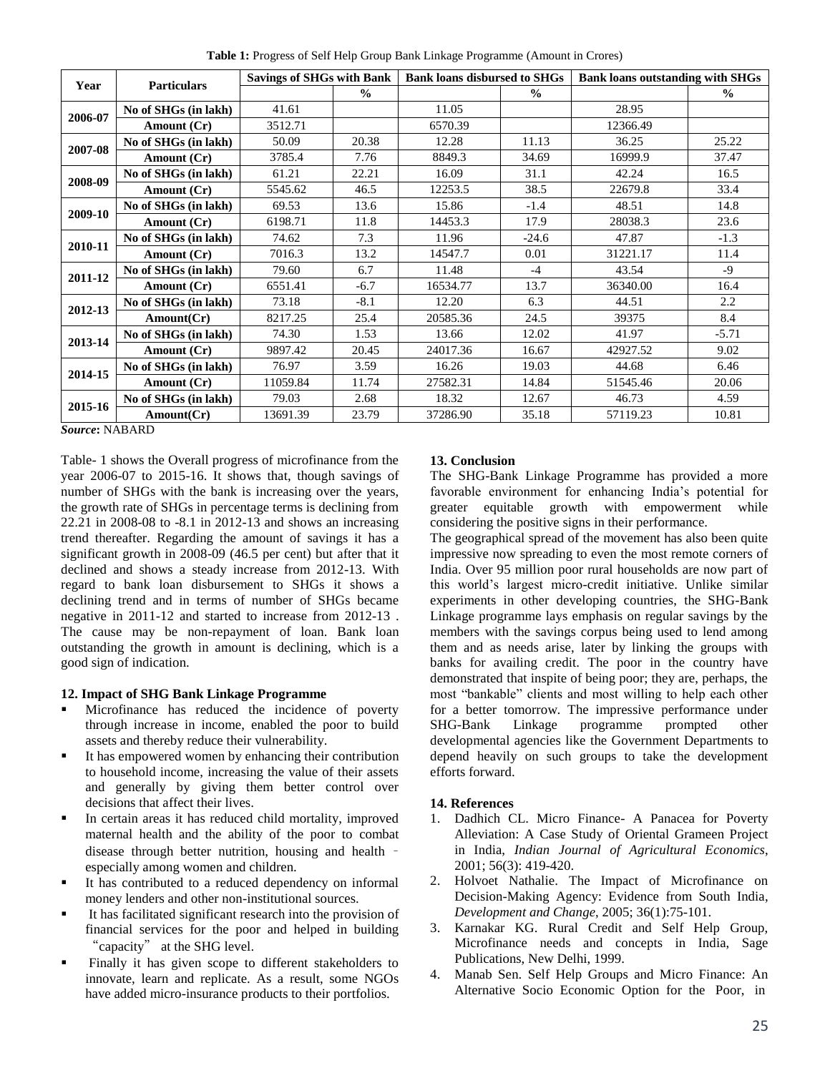**Table 1:** Progress of Self Help Group Bank Linkage Programme (Amount in Crores)

| Year              | <b>Particulars</b>         | <b>Savings of SHGs with Bank</b> |               | <b>Bank loans disbursed to SHGs</b> |               | <b>Bank loans outstanding with SHGs</b> |               |
|-------------------|----------------------------|----------------------------------|---------------|-------------------------------------|---------------|-----------------------------------------|---------------|
|                   |                            |                                  | $\frac{0}{0}$ |                                     | $\frac{0}{0}$ |                                         | $\frac{0}{0}$ |
| 2006-07           | No of SHGs (in lakh)       | 41.61                            |               | 11.05                               |               | 28.95                                   |               |
|                   | Amount (Cr)                | 3512.71                          |               | 6570.39                             |               | 12366.49                                |               |
| 2007-08           | No of SHGs (in lakh)       | 50.09                            | 20.38         | 12.28                               | 11.13         | 36.25                                   | 25.22         |
|                   | Amount (Cr)                | 3785.4                           | 7.76          | 8849.3                              | 34.69         | 16999.9                                 | 37.47         |
| 2008-09           | No of SHGs (in lakh)       | 61.21                            | 22.21         | 16.09                               | 31.1          | 42.24                                   | 16.5          |
|                   | Amount (Cr)                | 5545.62                          | 46.5          | 12253.5                             | 38.5          | 22679.8                                 | 33.4          |
| 2009-10           | No of SHGs (in lakh)       | 69.53                            | 13.6          | 15.86                               | $-1.4$        | 48.51                                   | 14.8          |
|                   | Amount (Cr)                | 6198.71                          | 11.8          | 14453.3                             | 17.9          | 28038.3                                 | 23.6          |
| 2010-11           | No of SHGs (in lakh)       | 74.62                            | 7.3           | 11.96                               | $-24.6$       | 47.87                                   | $-1.3$        |
|                   | Amount (Cr)                | 7016.3                           | 13.2          | 14547.7                             | 0.01          | 31221.17                                | 11.4          |
| 2011-12           | No of SHGs (in lakh)       | 79.60                            | 6.7           | 11.48                               | $-4$          | 43.54                                   | $-9$          |
|                   | Amount (Cr)                | 6551.41                          | $-6.7$        | 16534.77                            | 13.7          | 36340.00                                | 16.4          |
| 2012-13           | No of SHGs (in lakh)       | 73.18                            | $-8.1$        | 12.20                               | 6.3           | 44.51                                   | 2.2           |
|                   | Amount(Cr)                 | 8217.25                          | 25.4          | 20585.36                            | 24.5          | 39375                                   | 8.4           |
| 2013-14           | No of SHGs (in lakh)       | 74.30                            | 1.53          | 13.66                               | 12.02         | 41.97                                   | $-5.71$       |
|                   | Amount (Cr)                | 9897.42                          | 20.45         | 24017.36                            | 16.67         | 42927.52                                | 9.02          |
| 2014-15           | No of SHGs (in lakh)       | 76.97                            | 3.59          | 16.26                               | 19.03         | 44.68                                   | 6.46          |
|                   | Amount (Cr)                | 11059.84                         | 11.74         | 27582.31                            | 14.84         | 51545.46                                | 20.06         |
| 2015-16<br>$\sim$ | No of SHGs (in lakh)       | 79.03                            | 2.68          | 18.32                               | 12.67         | 46.73                                   | 4.59          |
|                   | Amount(Cr)<br>$\mathbf{M}$ | 13691.39                         | 23.79         | 37286.90                            | 35.18         | 57119.23                                | 10.81         |

*Source***:** NABARD

Table- 1 shows the Overall progress of microfinance from the year 2006-07 to 2015-16. It shows that, though savings of number of SHGs with the bank is increasing over the years, the growth rate of SHGs in percentage terms is declining from 22.21 in 2008-08 to -8.1 in 2012-13 and shows an increasing trend thereafter. Regarding the amount of savings it has a significant growth in 2008-09 (46.5 per cent) but after that it declined and shows a steady increase from 2012-13. With regard to bank loan disbursement to SHGs it shows a declining trend and in terms of number of SHGs became negative in 2011-12 and started to increase from 2012-13 . The cause may be non-repayment of loan. Bank loan outstanding the growth in amount is declining, which is a good sign of indication.

## **12. Impact of SHG Bank Linkage Programme**

- **Microfinance** has reduced the incidence of poverty through increase in income, enabled the poor to build assets and thereby reduce their vulnerability.
- It has empowered women by enhancing their contribution to household income, increasing the value of their assets and generally by giving them better control over decisions that affect their lives.
- In certain areas it has reduced child mortality, improved maternal health and the ability of the poor to combat disease through better nutrition, housing and health – especially among women and children.
- It has contributed to a reduced dependency on informal money lenders and other non-institutional sources.
- It has facilitated significant research into the provision of financial services for the poor and helped in building "capacity" at the SHG level.
- Finally it has given scope to different stakeholders to innovate, learn and replicate. As a result, some NGOs have added micro-insurance products to their portfolios.

## **13. Conclusion**

The SHG-Bank Linkage Programme has provided a more favorable environment for enhancing India's potential for greater equitable growth with empowerment while considering the positive signs in their performance.

The geographical spread of the movement has also been quite impressive now spreading to even the most remote corners of India. Over 95 million poor rural households are now part of this world's largest micro-credit initiative. Unlike similar experiments in other developing countries, the SHG-Bank Linkage programme lays emphasis on regular savings by the members with the savings corpus being used to lend among them and as needs arise, later by linking the groups with banks for availing credit. The poor in the country have demonstrated that inspite of being poor; they are, perhaps, the most "bankable" clients and most willing to help each other for a better tomorrow. The impressive performance under SHG-Bank Linkage programme prompted other developmental agencies like the Government Departments to depend heavily on such groups to take the development efforts forward.

### **14. References**

- 1. Dadhich CL. Micro Finance- A Panacea for Poverty Alleviation: A Case Study of Oriental Grameen Project in India, *Indian Journal of Agricultural Economics*, 2001; 56(3): 419-420.
- 2. Holvoet Nathalie. The Impact of Microfinance on Decision-Making Agency: Evidence from South India, *Development and Change*, 2005; 36(1):75-101.
- 3. Karnakar KG. Rural Credit and Self Help Group, Microfinance needs and concepts in India, Sage Publications, New Delhi, 1999.
- 4. Manab Sen. Self Help Groups and Micro Finance: An Alternative Socio Economic Option for the Poor, in